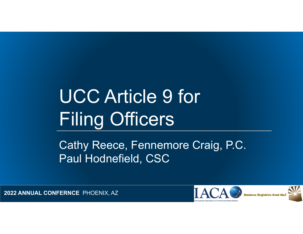# UCC Article 9 for Filing Officers

Cathy Reece, Fennemore Craig, P.C. Paul Hodnefield, CSC

**2022 ANNUAL CONFERNCE** PHOENIX, AZ <sup>1</sup>



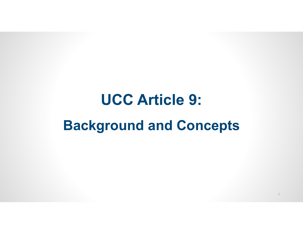## **UCC Article 9: Background and Concepts**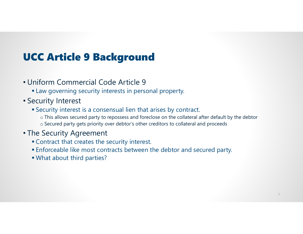### UCC Article 9 Background

- Uniform Commercial Code Article 9
	- Law governing security interests in personal property.
- Security Interest
	- Security interest is a consensual lien that arises by contract.
		- $\circ$  This allows secured party to repossess and foreclose on the collateral after default by the debtor  $\circ$  Secured party gets priority over debtor's other creditors to collateral and proceeds
- The Security Agreement
	- Contract that creates the security interest.
	- Enforceable like most contracts between the debtor and secured party.
	- What about third parties?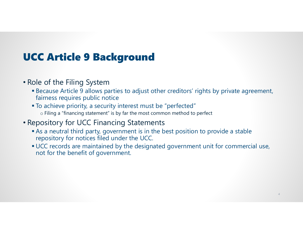#### UCC Article 9 Background

- Role of the Filing System
	- Because Article 9 allows parties to adjust other creditors' rights by private agreement, fairness requires public notice
	- To achieve priority, a security interest must be "perfected"  $\circ$  Filing a "financing statement" is by far the most common method to perfect
- Repository for UCC Financing Statements
	- As a neutral third party, government is in the best position to provide a stable repository for notices filed under the UCC.
	- UCC records are maintained by the designated government unit for commercial use, not for the benefit of government.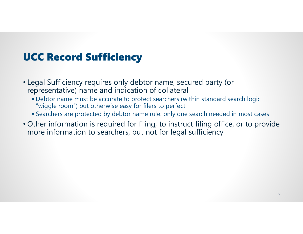### UCC Record Sufficiency

- Legal Sufficiency requires only debtor name, secured party (or representative) name and indication of collateral
	- Debtor name must be accurate to protect searchers (within standard search logic "wiggle room") but otherwise easy for filers to perfect
	- Searchers are protected by debtor name rule: only one search needed in most cases
- Other information is required for filing, to instruct filing office, or to provide more information to searchers, but not for legal sufficiency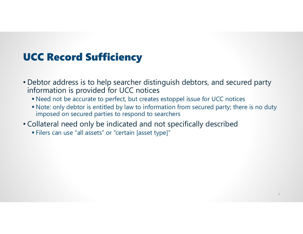### UCC Record Sufficiency

- Debtor address is to help searcher distinguish debtors, and secured party information is provided for UCC notices
	- Need not be accurate to perfect, but creates estoppel issue for UCC notices
	- Note: only debtor is entitled by law to information from secured party; there is no duty imposed on secured parties to respond to searchers
- Collateral need only be indicated and not specifically described
	- Filers can use "all assets" or "certain [asset type]"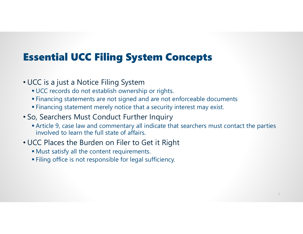### Essential UCC Filing System Concepts

- UCC is a just a Notice Filing System
	- UCC records do not establish ownership or rights.
	- Financing statements are not signed and are not enforceable documents
	- Financing statement merely notice that a security interest may exist.
- So, Searchers Must Conduct Further Inquiry
	- Article 9, case law and commentary all indicate that searchers must contact the parties involved to learn the full state of affairs.
- UCC Places the Burden on Filer to Get it Right
	- Must satisfy all the content requirements.
	- Filing office is not responsible for legal sufficiency.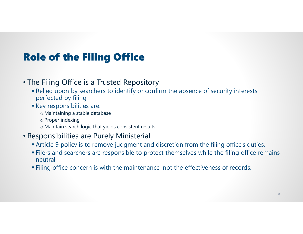### Role of the Filing Office

#### • The Filing Office is a Trusted Repository

- Relied upon by searchers to identify or confirm the absence of security interests perfected by filing
- Key responsibilities are:
	- o Maintaining a stable database
	- o Proper indexing
	- $\circ$  Maintain search logic that yields consistent results
- Responsibilities are Purely Ministerial
	- Article 9 policy is to remove judgment and discretion from the filing office's duties.
	- Filers and searchers are responsible to protect themselves while the filing office remains neutral
	- Filing office concern is with the maintenance, not the effectiveness of records.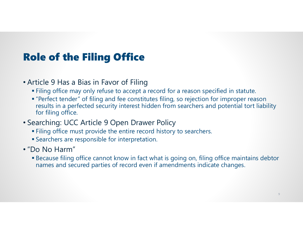### Role of the Filing Office

- Article 9 Has a Bias in Favor of Filing
	- Filing office may only refuse to accept a record for a reason specified in statute.
	- "Perfect tender" of filing and fee constitutes filing, so rejection for improper reason results in a perfected security interest hidden from searchers and potential tort liability for filing office.
- Searching: UCC Article 9 Open Drawer Policy
	- Filing office must provide the entire record history to searchers.
	- Searchers are responsible for interpretation.
- "Do No Harm"
	- Because filing office cannot know in fact what is going on, filing office maintains debtor names and secured parties of record even if amendments indicate changes.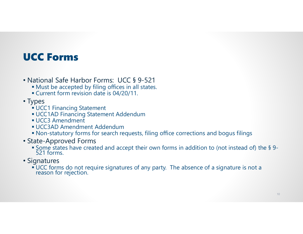#### UCC Forms

- National Safe Harbor Forms: UCC § 9-521
	- Must be accepted by filing offices in all states.
	- Current form revision date is 04/20/11.
- Types
	- UCC1 Financing Statement
	- UCC1AD Financing Statement Addendum
	- UCC3 Amendment
	- UCC3AD Amendment Addendum
	- Non-statutory forms for search requests, filing office corrections and bogus filings
- State-Approved Forms
	- Some states have created and accept their own forms in addition to (not instead of) the § 9-<br>521 forms.
- Signatures
	- UCC forms do not require signatures of any party. The absence of a signature is not a reason for rejection.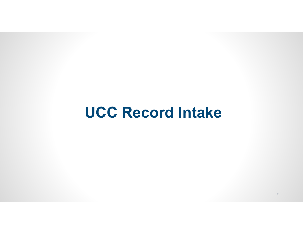## **UCC Record Intake**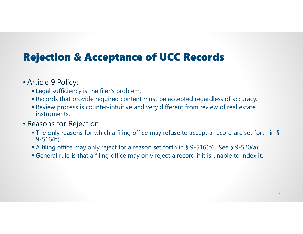### Rejection & Acceptance of UCC Records

#### • Article 9 Policy:

- Legal sufficiency is the filer's problem.
- Records that provide required content must be accepted regardless of accuracy.
- Review process is counter-intuitive and very different from review of real estate instruments.

#### • Reasons for Rejection

- The only reasons for which a filing office may refuse to accept a record are set forth in § 9-516(b).
- A filing office may only reject for a reason set forth in § 9-516(b). See § 9-520(a).
- General rule is that a filing office may only reject a record if it is unable to index it.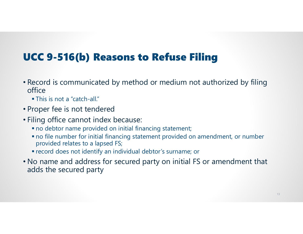### UCC 9-516(b) Reasons to Refuse Filing

- Record is communicated by method or medium not authorized by filing office
	- This is not a "catch-all."
- Proper fee is not tendered
- Filing office cannot index because:
	- no debtor name provided on initial financing statement;
	- no file number for initial financing statement provided on amendment, or number provided relates to a lapsed FS;
	- record does not identify an individual debtor's surname; or
- No name and address for secured party on initial FS or amendment that adds the secured party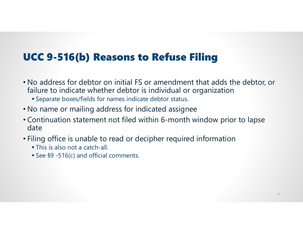#### UCC 9-516(b) Reasons to Refuse Filing

- No address for debtor on initial FS or amendment that adds the debtor, or failure to indicate whether debtor is individual or organization
	- Separate boxes/fields for names indicate debtor status.
- No name or mailing address for indicated assignee
- Continuation statement not filed within 6-month window prior to lapse date
- Filing office is unable to read or decipher required information
	- This is also not a catch-all.
	- See §9 -516(c) and official comments.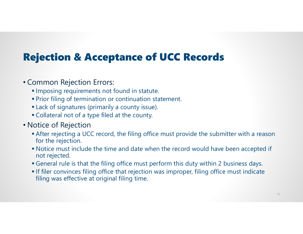### Rejection & Acceptance of UCC Records

#### • Common Rejection Errors:

- **Imposing requirements not found in statute.**
- **Prior filing of termination or continuation statement.**
- Lack of signatures (primarily a county issue).
- Collateral not of a type filed at the county.

#### • Notice of Rejection

- After rejecting a UCC record, the filing office must provide the submitter with a reason for the rejection.
- Notice must include the time and date when the record would have been accepted if not rejected.
- General rule is that the filing office must perform this duty within 2 business days.
- **If filer convinces filing office that rejection was improper, filing office must indicate** filing was effective at original filing time.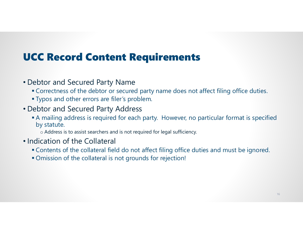#### UCC Record Content Requirements

- Debtor and Secured Party Name
	- Correctness of the debtor or secured party name does not affect filing office duties.
	- **Typos and other errors are filer's problem.**
- Debtor and Secured Party Address
	- A mailing address is required for each party. However, no particular format is specified by statute.

 $\circ$  Address is to assist searchers and is not required for legal sufficiency.

- Indication of the Collateral
	- Contents of the collateral field do not affect filing office duties and must be ignored.
	- Omission of the collateral is not grounds for rejection!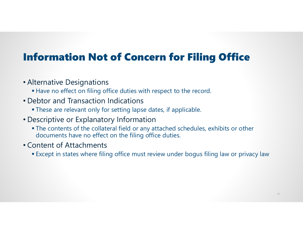### Information Not of Concern for Filing Office

#### • Alternative Designations

- Have no effect on filing office duties with respect to the record.
- Debtor and Transaction Indications
	- These are relevant only for setting lapse dates, if applicable.
- Descriptive or Explanatory Information
	- The contents of the collateral field or any attached schedules, exhibits or other documents have no effect on the filing office duties.
- Content of Attachments
	- Except in states where filing office must review under bogus filing law or privacy law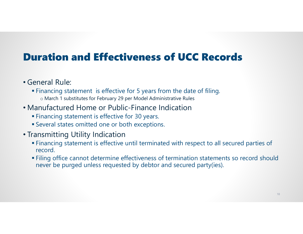#### Duration and Effectiveness of UCC Records

- General Rule:
	- Financing statement is effective for 5 years from the date of filing. o March 1 substitutes for February 29 per Model Administrative Rules
- Manufactured Home or Public-Finance Indication
	- Financing statement is effective for 30 years.
	- Several states omitted one or both exceptions.
- Transmitting Utility Indication
	- Financing statement is effective until terminated with respect to all secured parties of record.
	- Filing office cannot determine effectiveness of termination statements so record should never be purged unless requested by debtor and secured party(ies).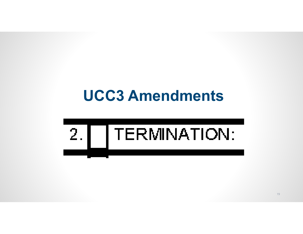## **UCC3 Amendments**

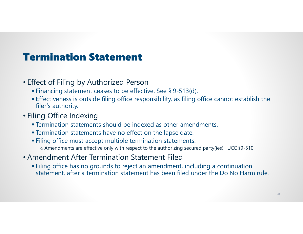### Termination Statement

- Effect of Filing by Authorized Person
	- Financing statement ceases to be effective. See § 9-513(d).
	- Effectiveness is outside filing office responsibility, as filing office cannot establish the filer's authority.
- Filing Office Indexing
	- Termination statements should be indexed as other amendments.
	- Termination statements have no effect on the lapse date.
	- Filing office must accept multiple termination statements. o Amendments are effective only with respect to the authorizing secured party(ies). UCC §9-510.
- Amendment After Termination Statement Filed
	- Filing office has no grounds to reject an amendment, including a continuation statement, after a termination statement has been filed under the Do No Harm rule.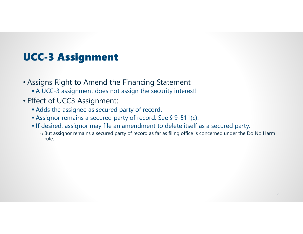### UCC-3 Assignment

- Assigns Right to Amend the Financing Statement
	- A UCC-3 assignment does not assign the security interest!
- Effect of UCC3 Assignment:
	- Adds the assignee as secured party of record.
	- Assignor remains a secured party of record. See § 9-511(c).
	- If desired, assignor may file an amendment to delete itself as a secured party.
		- $\circ$  But assignor remains a secured party of record as far as filing office is concerned under the Do No Harm  $\,$ rule.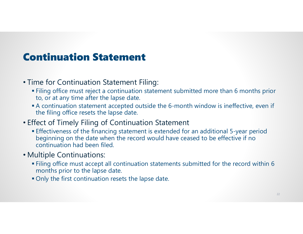#### Continuation Statement

- Time for Continuation Statement Filing:
	- Filing office must reject a continuation statement submitted more than 6 months prior to, or at any time after the lapse date.
	- A continuation statement accepted outside the 6-month window is ineffective, even if the filing office resets the lapse date.
- Effect of Timely Filing of Continuation Statement
	- Effectiveness of the financing statement is extended for an additional 5-year period beginning on the date when the record would have ceased to be effective if no continuation had been filed.
- Multiple Continuations:
	- Filing office must accept all continuation statements submitted for the record within 6 months prior to the lapse date.
	- Only the first continuation resets the lapse date.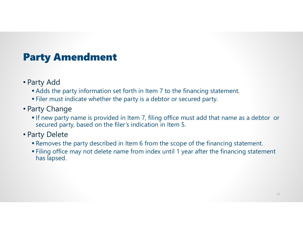### Party Amendment

- Party Add
	- Adds the party information set forth in Item 7 to the financing statement.
	- Filer must indicate whether the party is a debtor or secured party.
- Party Change
	- If new party name is provided in Item 7, filing office must add that name as a debtor or secured party, based on the filer's indication in Item 5.
- Party Delete
	- Removes the party described in Item 6 from the scope of the financing statement.
	- Filing office may not delete name from index until 1 year after the financing statement has lapsed.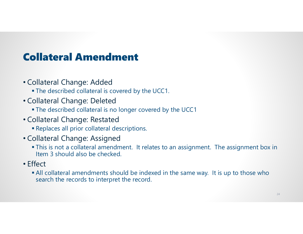### Collateral Amendment

- Collateral Change: Added
	- The described collateral is covered by the UCC1.
- Collateral Change: Deleted
	- The described collateral is no longer covered by the UCC1
- Collateral Change: Restated
	- Replaces all prior collateral descriptions.
- Collateral Change: Assigned
	- This is not a collateral amendment. It relates to an assignment. The assignment box in Item 3 should also be checked.
- Effect
	- All collateral amendments should be indexed in the same way. It is up to those who search the records to interpret the record.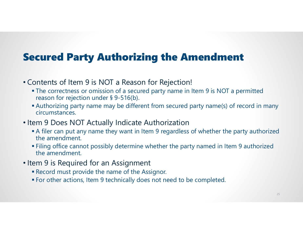#### Secured Party Authorizing the Amendment

- Contents of Item 9 is NOT a Reason for Rejection!
	- The correctness or omission of a secured party name in Item 9 is NOT a permitted reason for rejection under § 9-516(b).
	- Authorizing party name may be different from secured party name(s) of record in many circumstances.
- Item 9 Does NOT Actually Indicate Authorization
	- A filer can put any name they want in Item 9 regardless of whether the party authorized the amendment.
	- Filing office cannot possibly determine whether the party named in Item 9 authorized the amendment.
- Item 9 is Required for an Assignment
	- Record must provide the name of the Assignor.
	- For other actions, Item 9 technically does not need to be completed.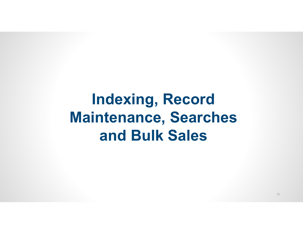## **Indexing, Record Maintenance, Searches and Bulk Sales**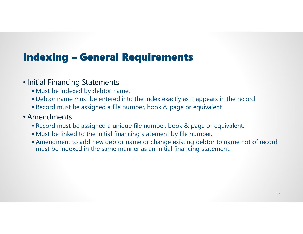### Indexing – General Requirements

- Initial Financing Statements
	- Must be indexed by debtor name.
	- Debtor name must be entered into the index exactly as it appears in the record.
	- Record must be assigned a file number, book & page or equivalent.
- Amendments
	- Record must be assigned a unique file number, book & page or equivalent.
	- Must be linked to the initial financing statement by file number.
	- Amendment to add new debtor name or change existing debtor to name not of record must be indexed in the same manner as an initial financing statement.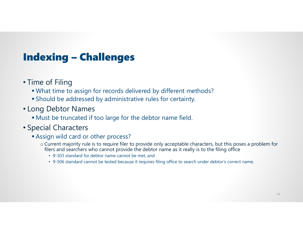### Indexing – Challenges

- Time of Filing
	- What time to assign for records delivered by different methods?
	- Should be addressed by administrative rules for certainty.
- Long Debtor Names
	- Must be truncated if too large for the debtor name field.

#### • Special Characters

- Assign wild card or other process?
	- o Current majority rule is to require filer to provide only acceptable characters, but this poses a problem for filers and searchers who cannot provide the debtor name as it really is to the filing office
		- 9-503 standard for debtor name cannot be met, and
		- 9-506 standard cannot be tested because it requires filing office to search under debtor's correct name.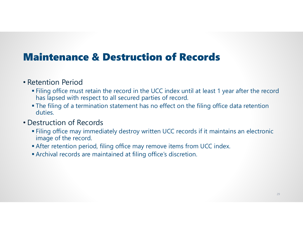#### Maintenance & Destruction of Records

#### • Retention Period

- Filing office must retain the record in the UCC index until at least 1 year after the record has lapsed with respect to all secured parties of record.
- The filing of a termination statement has no effect on the filing office data retention duties.

#### • Destruction of Records

- Filing office may immediately destroy written UCC records if it maintains an electronic image of the record.
- After retention period, filing office may remove items from UCC index.
- Archival records are maintained at filing office's discretion.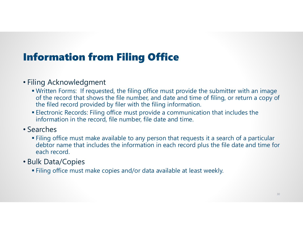### Information from Filing Office

#### • Filing Acknowledgment

- Written Forms: If requested, the filing office must provide the submitter with an image of the record that shows the file number, and date and time of filing, or return a copy of the filed record provided by filer with the filing information.
- Electronic Records: Filing office must provide a communication that includes the information in the record, file number, file date and time.

#### • Searches

 Filing office must make available to any person that requests it a search of a particular debtor name that includes the information in each record plus the file date and time for each record.

#### • Bulk Data/Copies

Filing office must make copies and/or data available at least weekly.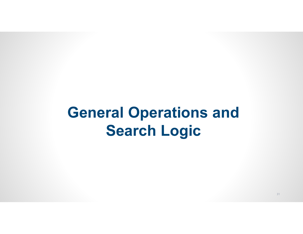## **General Operations and Search Logic**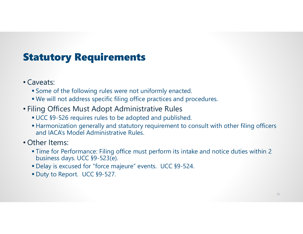### Statutory Requirements

- Caveats:
	- Some of the following rules were not uniformly enacted.
	- We will not address specific filing office practices and procedures.
- Filing Offices Must Adopt Administrative Rules
	- UCC §9-526 requires rules to be adopted and published.
	- Harmonization generally and statutory requirement to consult with other filing officers and IACA's Model Administrative Rules.
- Other Items:
	- Time for Performance: Filing office must perform its intake and notice duties within 2 business days. UCC §9-523(e).
	- Delay is excused for "force majeure" events. UCC §9-524.
	- Duty to Report. UCC §9-527.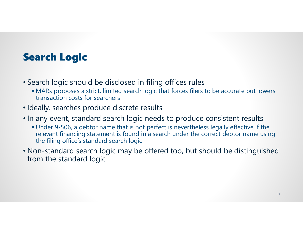### Search Logic

- Search logic should be disclosed in filing offices rules
	- MARs proposes a strict, limited search logic that forces filers to be accurate but lowers transaction costs for searchers
- Ideally, searches produce discrete results
- In any event, standard search logic needs to produce consistent results
	- Under 9-506, a debtor name that is not perfect is nevertheless legally effective if the relevant financing statement is found in a search under the correct debtor name using the filing office's standard search logic
- Non-standard search logic may be offered too, but should be distinguished from the standard logic